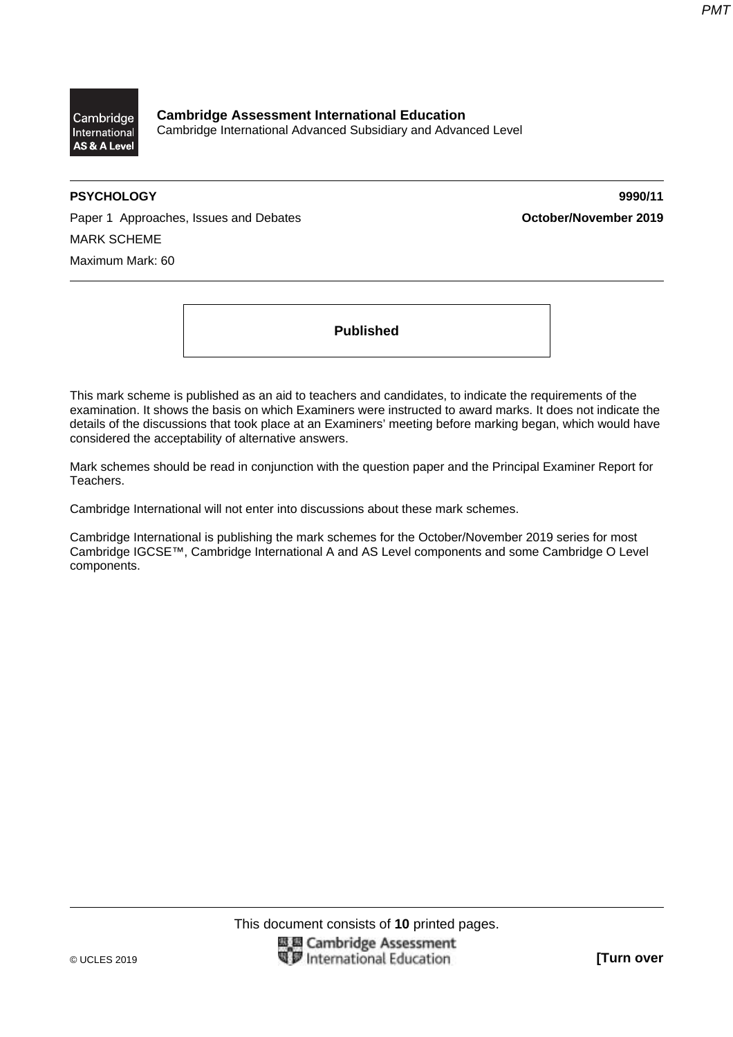

**Cambridge Assessment International Education**  Cambridge International Advanced Subsidiary and Advanced Level

**PSYCHOLOGY 9990/11** 

Paper 1 Approaches, Issues and Debates **October/November 2019** MARK SCHEME Maximum Mark: 60

**Published** 

This mark scheme is published as an aid to teachers and candidates, to indicate the requirements of the examination. It shows the basis on which Examiners were instructed to award marks. It does not indicate the details of the discussions that took place at an Examiners' meeting before marking began, which would have considered the acceptability of alternative answers.

Mark schemes should be read in conjunction with the question paper and the Principal Examiner Report for Teachers.

Cambridge International will not enter into discussions about these mark schemes.

Cambridge International is publishing the mark schemes for the October/November 2019 series for most Cambridge IGCSE™, Cambridge International A and AS Level components and some Cambridge O Level components.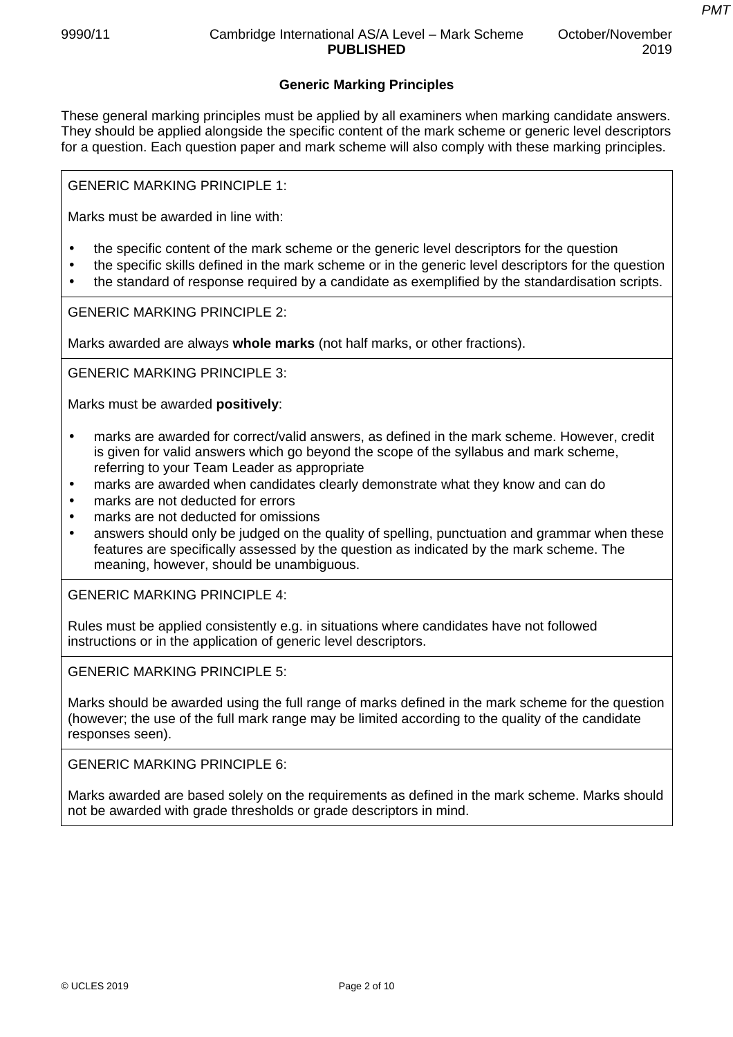*PMT*

# **Generic Marking Principles**

These general marking principles must be applied by all examiners when marking candidate answers. They should be applied alongside the specific content of the mark scheme or generic level descriptors for a question. Each question paper and mark scheme will also comply with these marking principles.

GENERIC MARKING PRINCIPLE 1:

Marks must be awarded in line with:

- the specific content of the mark scheme or the generic level descriptors for the question
- the specific skills defined in the mark scheme or in the generic level descriptors for the question
- the standard of response required by a candidate as exemplified by the standardisation scripts.

GENERIC MARKING PRINCIPLE 2:

Marks awarded are always **whole marks** (not half marks, or other fractions).

GENERIC MARKING PRINCIPLE 3:

Marks must be awarded **positively**:

- marks are awarded for correct/valid answers, as defined in the mark scheme. However, credit is given for valid answers which go beyond the scope of the syllabus and mark scheme, referring to your Team Leader as appropriate
- marks are awarded when candidates clearly demonstrate what they know and can do
- marks are not deducted for errors
- marks are not deducted for omissions
- answers should only be judged on the quality of spelling, punctuation and grammar when these features are specifically assessed by the question as indicated by the mark scheme. The meaning, however, should be unambiguous.

GENERIC MARKING PRINCIPLE 4:

Rules must be applied consistently e.g. in situations where candidates have not followed instructions or in the application of generic level descriptors.

GENERIC MARKING PRINCIPLE 5:

Marks should be awarded using the full range of marks defined in the mark scheme for the question (however; the use of the full mark range may be limited according to the quality of the candidate responses seen).

GENERIC MARKING PRINCIPLE 6:

Marks awarded are based solely on the requirements as defined in the mark scheme. Marks should not be awarded with grade thresholds or grade descriptors in mind.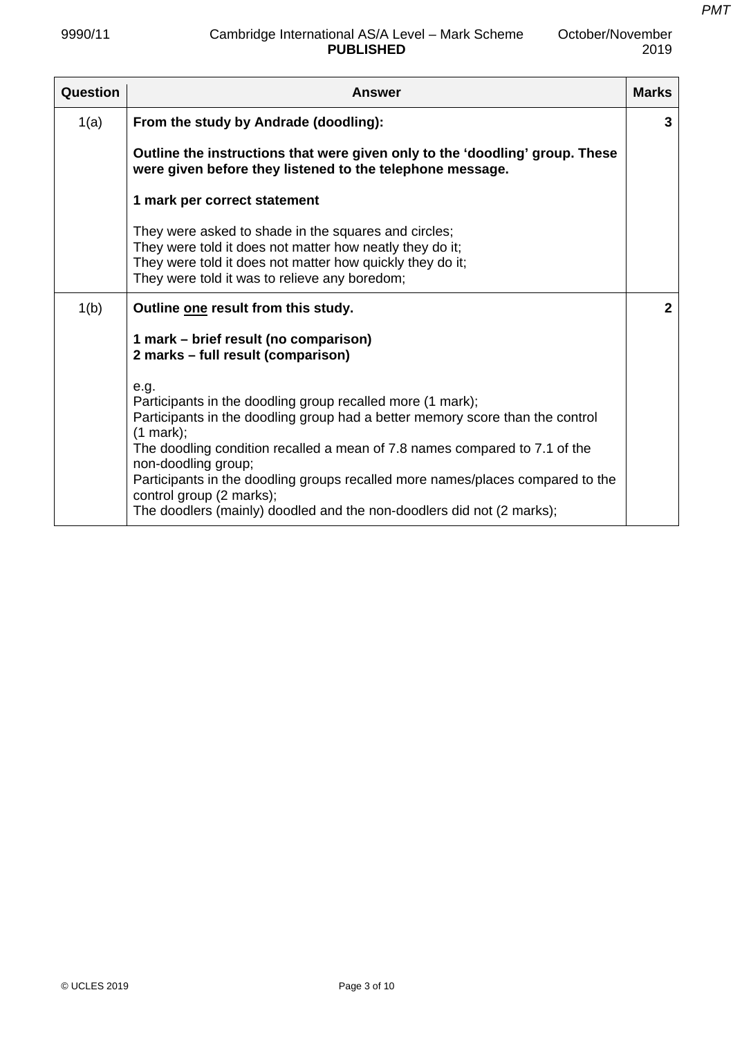| Question | <b>Answer</b>                                                                                                                                                                                                                                                                                                                                                                                                                                                | <b>Marks</b> |
|----------|--------------------------------------------------------------------------------------------------------------------------------------------------------------------------------------------------------------------------------------------------------------------------------------------------------------------------------------------------------------------------------------------------------------------------------------------------------------|--------------|
| 1(a)     | From the study by Andrade (doodling):                                                                                                                                                                                                                                                                                                                                                                                                                        | 3            |
|          | Outline the instructions that were given only to the 'doodling' group. These<br>were given before they listened to the telephone message.                                                                                                                                                                                                                                                                                                                    |              |
|          | 1 mark per correct statement                                                                                                                                                                                                                                                                                                                                                                                                                                 |              |
|          | They were asked to shade in the squares and circles;<br>They were told it does not matter how neatly they do it;<br>They were told it does not matter how quickly they do it;<br>They were told it was to relieve any boredom;                                                                                                                                                                                                                               |              |
| 1(b)     | Outline one result from this study.                                                                                                                                                                                                                                                                                                                                                                                                                          | $\mathbf{2}$ |
|          | 1 mark – brief result (no comparison)<br>2 marks - full result (comparison)                                                                                                                                                                                                                                                                                                                                                                                  |              |
|          | e.g.<br>Participants in the doodling group recalled more (1 mark);<br>Participants in the doodling group had a better memory score than the control<br>(1 mark);<br>The doodling condition recalled a mean of 7.8 names compared to 7.1 of the<br>non-doodling group;<br>Participants in the doodling groups recalled more names/places compared to the<br>control group (2 marks);<br>The doodlers (mainly) doodled and the non-doodlers did not (2 marks); |              |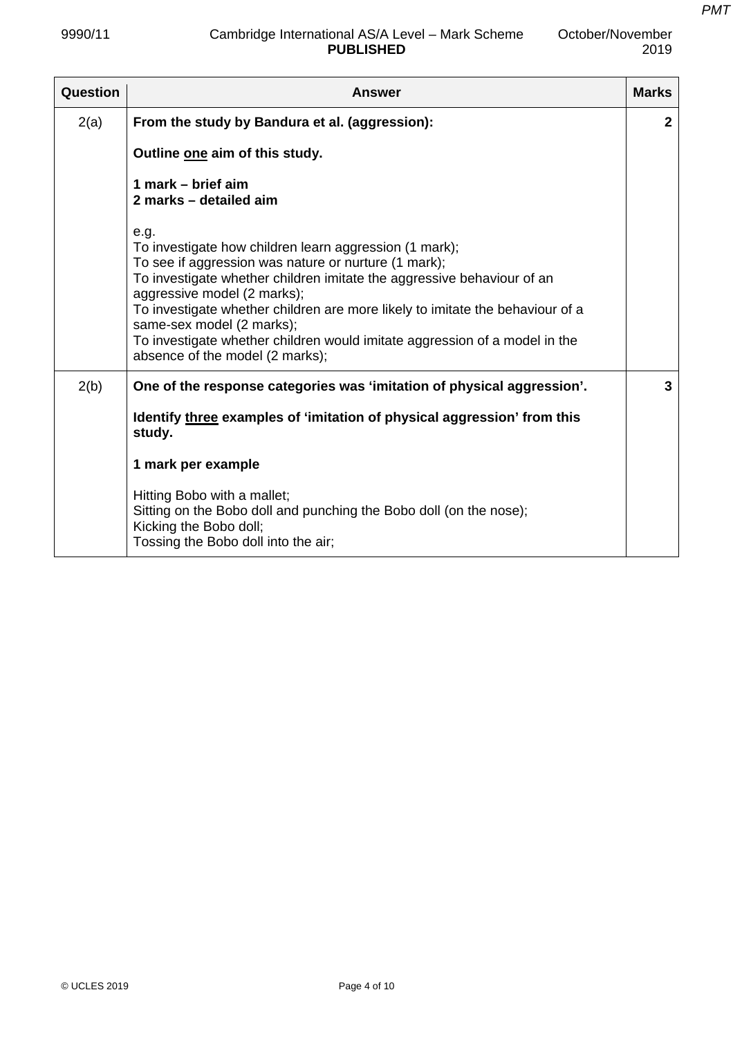| Question | <b>Answer</b>                                                                                                                                                                                                                                                                                                                                                                                                                                                  | <b>Marks</b>   |
|----------|----------------------------------------------------------------------------------------------------------------------------------------------------------------------------------------------------------------------------------------------------------------------------------------------------------------------------------------------------------------------------------------------------------------------------------------------------------------|----------------|
| 2(a)     | From the study by Bandura et al. (aggression):                                                                                                                                                                                                                                                                                                                                                                                                                 | $\mathbf{2}$   |
|          | Outline one aim of this study.                                                                                                                                                                                                                                                                                                                                                                                                                                 |                |
|          | 1 mark – brief aim<br>2 marks - detailed aim                                                                                                                                                                                                                                                                                                                                                                                                                   |                |
|          | e.g.<br>To investigate how children learn aggression (1 mark);<br>To see if aggression was nature or nurture (1 mark);<br>To investigate whether children imitate the aggressive behaviour of an<br>aggressive model (2 marks);<br>To investigate whether children are more likely to imitate the behaviour of a<br>same-sex model (2 marks);<br>To investigate whether children would imitate aggression of a model in the<br>absence of the model (2 marks); |                |
| 2(b)     | One of the response categories was 'imitation of physical aggression'.                                                                                                                                                                                                                                                                                                                                                                                         | $\overline{3}$ |
|          | Identify three examples of 'imitation of physical aggression' from this<br>study.                                                                                                                                                                                                                                                                                                                                                                              |                |
|          | 1 mark per example                                                                                                                                                                                                                                                                                                                                                                                                                                             |                |
|          | Hitting Bobo with a mallet;<br>Sitting on the Bobo doll and punching the Bobo doll (on the nose);<br>Kicking the Bobo doll;<br>Tossing the Bobo doll into the air;                                                                                                                                                                                                                                                                                             |                |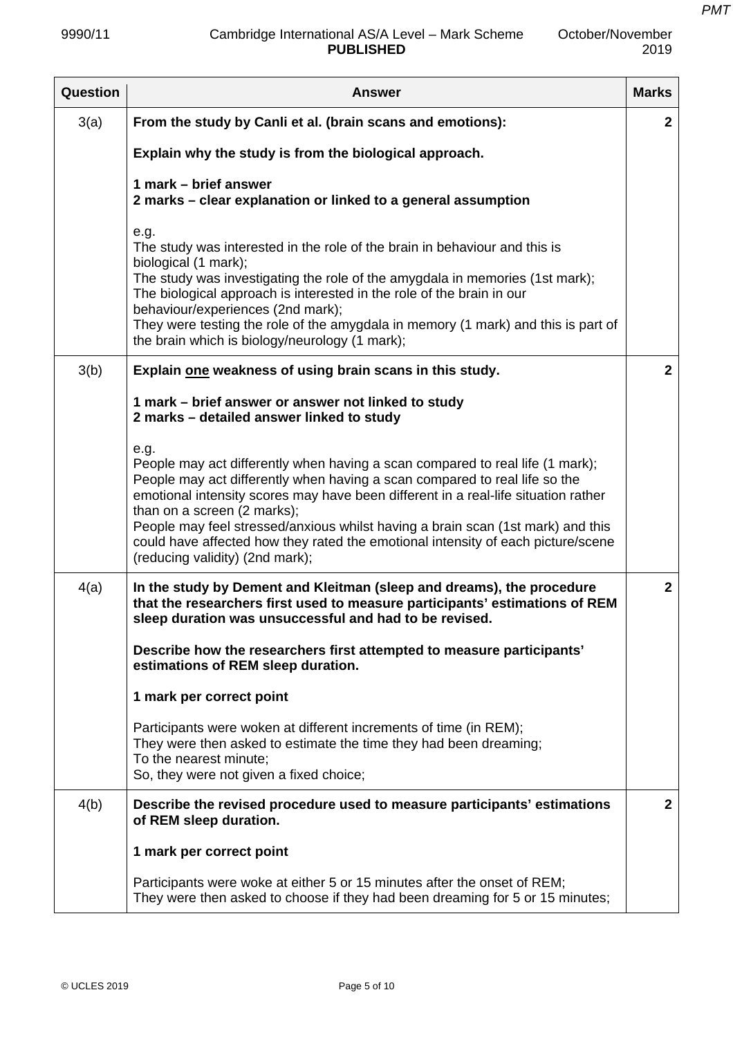October/November

| <b>Question</b> | <b>Answer</b>                                                                                                                                                                                                                                                                                                                                                                                                                                                                                      | <b>Marks</b> |
|-----------------|----------------------------------------------------------------------------------------------------------------------------------------------------------------------------------------------------------------------------------------------------------------------------------------------------------------------------------------------------------------------------------------------------------------------------------------------------------------------------------------------------|--------------|
| 3(a)            | From the study by Canli et al. (brain scans and emotions):                                                                                                                                                                                                                                                                                                                                                                                                                                         | $\mathbf{2}$ |
|                 | Explain why the study is from the biological approach.                                                                                                                                                                                                                                                                                                                                                                                                                                             |              |
|                 | 1 mark – brief answer<br>2 marks - clear explanation or linked to a general assumption                                                                                                                                                                                                                                                                                                                                                                                                             |              |
|                 | e.g.<br>The study was interested in the role of the brain in behaviour and this is<br>biological (1 mark);<br>The study was investigating the role of the amygdala in memories (1st mark);<br>The biological approach is interested in the role of the brain in our<br>behaviour/experiences (2nd mark);<br>They were testing the role of the amygdala in memory (1 mark) and this is part of<br>the brain which is biology/neurology (1 mark);                                                    |              |
| 3(b)            | Explain one weakness of using brain scans in this study.                                                                                                                                                                                                                                                                                                                                                                                                                                           | $\mathbf{2}$ |
|                 | 1 mark – brief answer or answer not linked to study<br>2 marks - detailed answer linked to study                                                                                                                                                                                                                                                                                                                                                                                                   |              |
|                 | e.g.<br>People may act differently when having a scan compared to real life (1 mark);<br>People may act differently when having a scan compared to real life so the<br>emotional intensity scores may have been different in a real-life situation rather<br>than on a screen (2 marks);<br>People may feel stressed/anxious whilst having a brain scan (1st mark) and this<br>could have affected how they rated the emotional intensity of each picture/scene<br>(reducing validity) (2nd mark); |              |
| 4(a)            | In the study by Dement and Kleitman (sleep and dreams), the procedure<br>that the researchers first used to measure participants' estimations of REM<br>sleep duration was unsuccessful and had to be revised.                                                                                                                                                                                                                                                                                     | $\mathbf{2}$ |
|                 | Describe how the researchers first attempted to measure participants'<br>estimations of REM sleep duration.                                                                                                                                                                                                                                                                                                                                                                                        |              |
|                 | 1 mark per correct point                                                                                                                                                                                                                                                                                                                                                                                                                                                                           |              |
|                 | Participants were woken at different increments of time (in REM);<br>They were then asked to estimate the time they had been dreaming;<br>To the nearest minute;<br>So, they were not given a fixed choice;                                                                                                                                                                                                                                                                                        |              |
| 4(b)            | Describe the revised procedure used to measure participants' estimations<br>of REM sleep duration.                                                                                                                                                                                                                                                                                                                                                                                                 | $\mathbf{2}$ |
|                 | 1 mark per correct point                                                                                                                                                                                                                                                                                                                                                                                                                                                                           |              |
|                 | Participants were woke at either 5 or 15 minutes after the onset of REM;<br>They were then asked to choose if they had been dreaming for 5 or 15 minutes;                                                                                                                                                                                                                                                                                                                                          |              |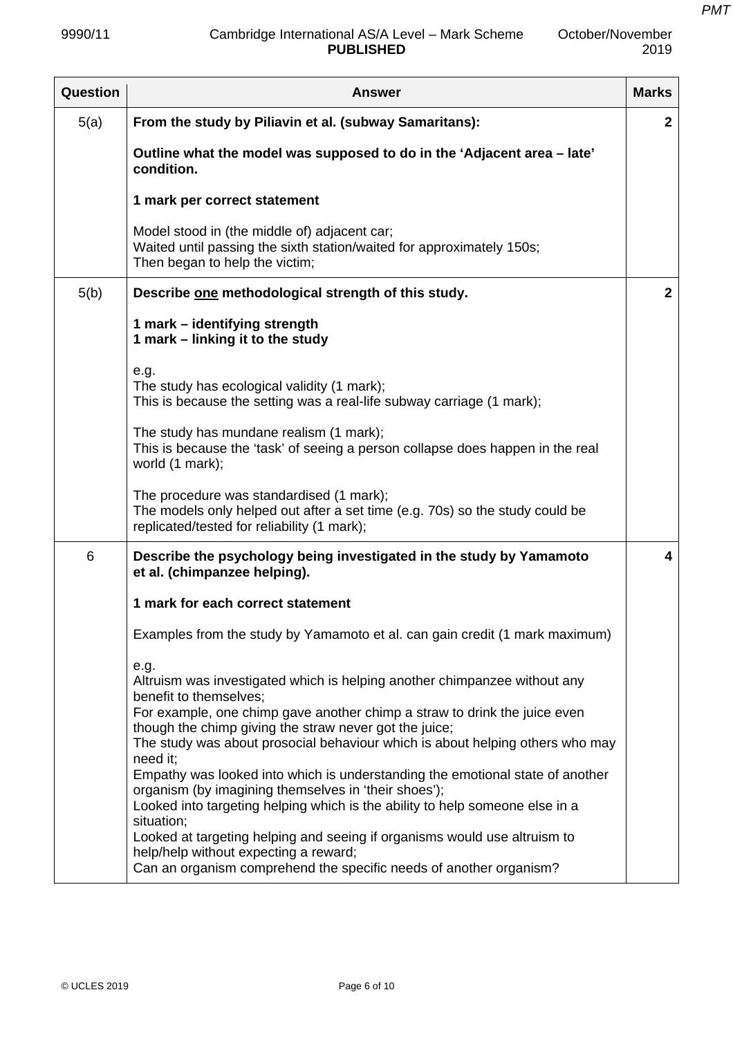| <b>Question</b> | <b>Answer</b>                                                                                                                                                                                                        | <b>Marks</b> |
|-----------------|----------------------------------------------------------------------------------------------------------------------------------------------------------------------------------------------------------------------|--------------|
| 5(a)            | From the study by Piliavin et al. (subway Samaritans):                                                                                                                                                               | $\mathbf{2}$ |
|                 | Outline what the model was supposed to do in the 'Adjacent area - late'<br>condition.                                                                                                                                |              |
|                 | 1 mark per correct statement                                                                                                                                                                                         |              |
|                 | Model stood in (the middle of) adjacent car;<br>Waited until passing the sixth station/waited for approximately 150s;<br>Then began to help the victim;                                                              |              |
| 5(b)            | Describe one methodological strength of this study.                                                                                                                                                                  | $\mathbf{2}$ |
|                 | 1 mark – identifying strength<br>1 mark – linking it to the study                                                                                                                                                    |              |
|                 | e.g.<br>The study has ecological validity (1 mark);<br>This is because the setting was a real-life subway carriage (1 mark);                                                                                         |              |
|                 | The study has mundane realism (1 mark);<br>This is because the 'task' of seeing a person collapse does happen in the real<br>world (1 mark);                                                                         |              |
|                 | The procedure was standardised (1 mark);<br>The models only helped out after a set time (e.g. 70s) so the study could be<br>replicated/tested for reliability (1 mark);                                              |              |
| 6               | Describe the psychology being investigated in the study by Yamamoto<br>et al. (chimpanzee helping).                                                                                                                  | 4            |
|                 | 1 mark for each correct statement                                                                                                                                                                                    |              |
|                 | Examples from the study by Yamamoto et al. can gain credit (1 mark maximum)                                                                                                                                          |              |
|                 | e.g.<br>Altruism was investigated which is helping another chimpanzee without any<br>benefit to themselves;                                                                                                          |              |
|                 | For example, one chimp gave another chimp a straw to drink the juice even<br>though the chimp giving the straw never got the juice;<br>The study was about prosocial behaviour which is about helping others who may |              |
|                 | need it;<br>Empathy was looked into which is understanding the emotional state of another<br>organism (by imagining themselves in 'their shoes');                                                                    |              |
|                 | Looked into targeting helping which is the ability to help someone else in a<br>situation;                                                                                                                           |              |
|                 | Looked at targeting helping and seeing if organisms would use altruism to<br>help/help without expecting a reward;                                                                                                   |              |
|                 | Can an organism comprehend the specific needs of another organism?                                                                                                                                                   |              |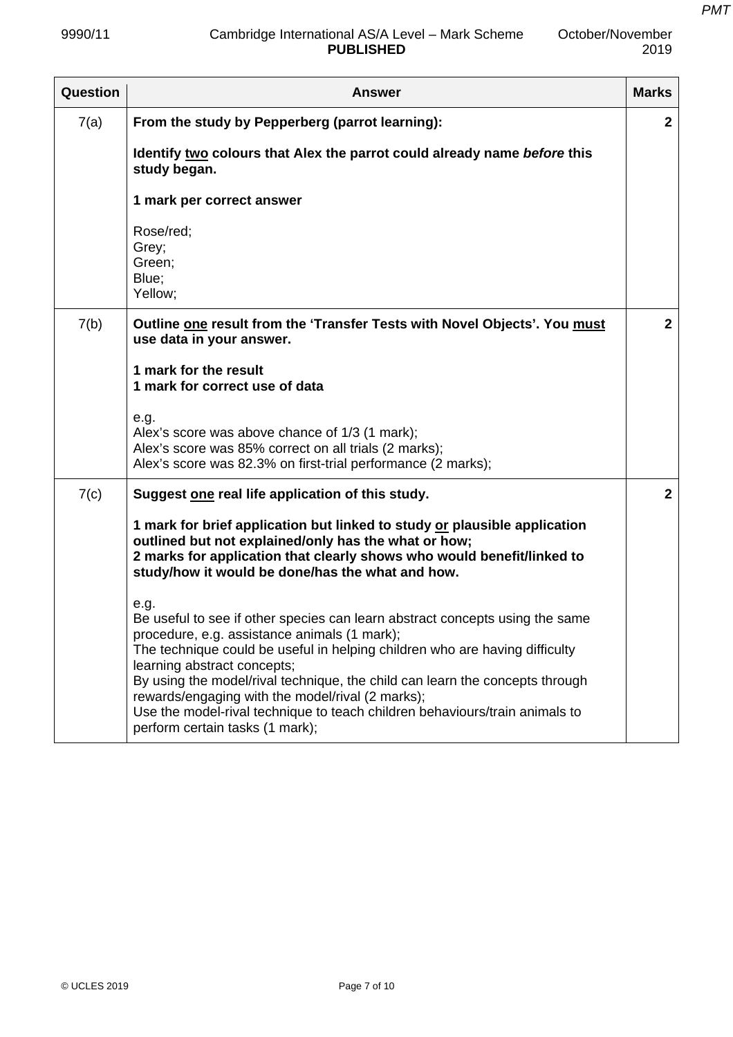October/November

| Question | Answer                                                                                                                                                                                                                                                                                                                                                                                                                                                                                                   | <b>Marks</b>   |
|----------|----------------------------------------------------------------------------------------------------------------------------------------------------------------------------------------------------------------------------------------------------------------------------------------------------------------------------------------------------------------------------------------------------------------------------------------------------------------------------------------------------------|----------------|
| 7(a)     | From the study by Pepperberg (parrot learning):                                                                                                                                                                                                                                                                                                                                                                                                                                                          | $\mathbf{2}$   |
|          | Identify two colours that Alex the parrot could already name before this<br>study began.                                                                                                                                                                                                                                                                                                                                                                                                                 |                |
|          | 1 mark per correct answer                                                                                                                                                                                                                                                                                                                                                                                                                                                                                |                |
|          | Rose/red;<br>Grey;<br>Green;<br>Blue;<br>Yellow;                                                                                                                                                                                                                                                                                                                                                                                                                                                         |                |
| 7(b)     | Outline one result from the 'Transfer Tests with Novel Objects'. You must<br>use data in your answer.                                                                                                                                                                                                                                                                                                                                                                                                    | 2 <sup>1</sup> |
|          | 1 mark for the result<br>1 mark for correct use of data                                                                                                                                                                                                                                                                                                                                                                                                                                                  |                |
|          | e.g.<br>Alex's score was above chance of 1/3 (1 mark);<br>Alex's score was 85% correct on all trials (2 marks);<br>Alex's score was 82.3% on first-trial performance (2 marks);                                                                                                                                                                                                                                                                                                                          |                |
| 7(c)     | Suggest one real life application of this study.                                                                                                                                                                                                                                                                                                                                                                                                                                                         | 2 <sup>1</sup> |
|          | 1 mark for brief application but linked to study or plausible application<br>outlined but not explained/only has the what or how;<br>2 marks for application that clearly shows who would benefit/linked to<br>study/how it would be done/has the what and how.                                                                                                                                                                                                                                          |                |
|          | e.g.<br>Be useful to see if other species can learn abstract concepts using the same<br>procedure, e.g. assistance animals (1 mark);<br>The technique could be useful in helping children who are having difficulty<br>learning abstract concepts;<br>By using the model/rival technique, the child can learn the concepts through<br>rewards/engaging with the model/rival (2 marks);<br>Use the model-rival technique to teach children behaviours/train animals to<br>perform certain tasks (1 mark); |                |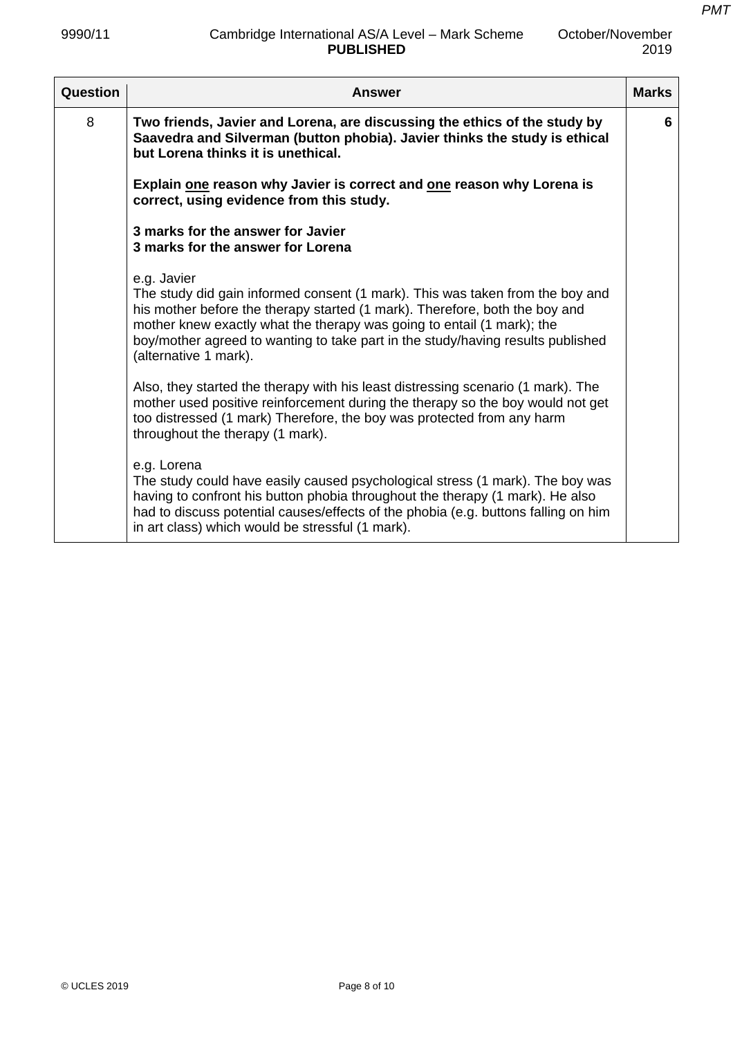*PMT*

| Question | <b>Answer</b>                                                                                                                                                                                                                                                                                                                                                     | <b>Marks</b> |
|----------|-------------------------------------------------------------------------------------------------------------------------------------------------------------------------------------------------------------------------------------------------------------------------------------------------------------------------------------------------------------------|--------------|
| 8        | Two friends, Javier and Lorena, are discussing the ethics of the study by<br>Saavedra and Silverman (button phobia). Javier thinks the study is ethical<br>but Lorena thinks it is unethical.                                                                                                                                                                     | 6            |
|          | Explain one reason why Javier is correct and one reason why Lorena is<br>correct, using evidence from this study.                                                                                                                                                                                                                                                 |              |
|          | 3 marks for the answer for Javier<br>3 marks for the answer for Lorena                                                                                                                                                                                                                                                                                            |              |
|          | e.g. Javier<br>The study did gain informed consent (1 mark). This was taken from the boy and<br>his mother before the therapy started (1 mark). Therefore, both the boy and<br>mother knew exactly what the therapy was going to entail (1 mark); the<br>boy/mother agreed to wanting to take part in the study/having results published<br>(alternative 1 mark). |              |
|          | Also, they started the therapy with his least distressing scenario (1 mark). The<br>mother used positive reinforcement during the therapy so the boy would not get<br>too distressed (1 mark) Therefore, the boy was protected from any harm<br>throughout the therapy (1 mark).                                                                                  |              |
|          | e.g. Lorena<br>The study could have easily caused psychological stress (1 mark). The boy was<br>having to confront his button phobia throughout the therapy (1 mark). He also<br>had to discuss potential causes/effects of the phobia (e.g. buttons falling on him<br>in art class) which would be stressful (1 mark).                                           |              |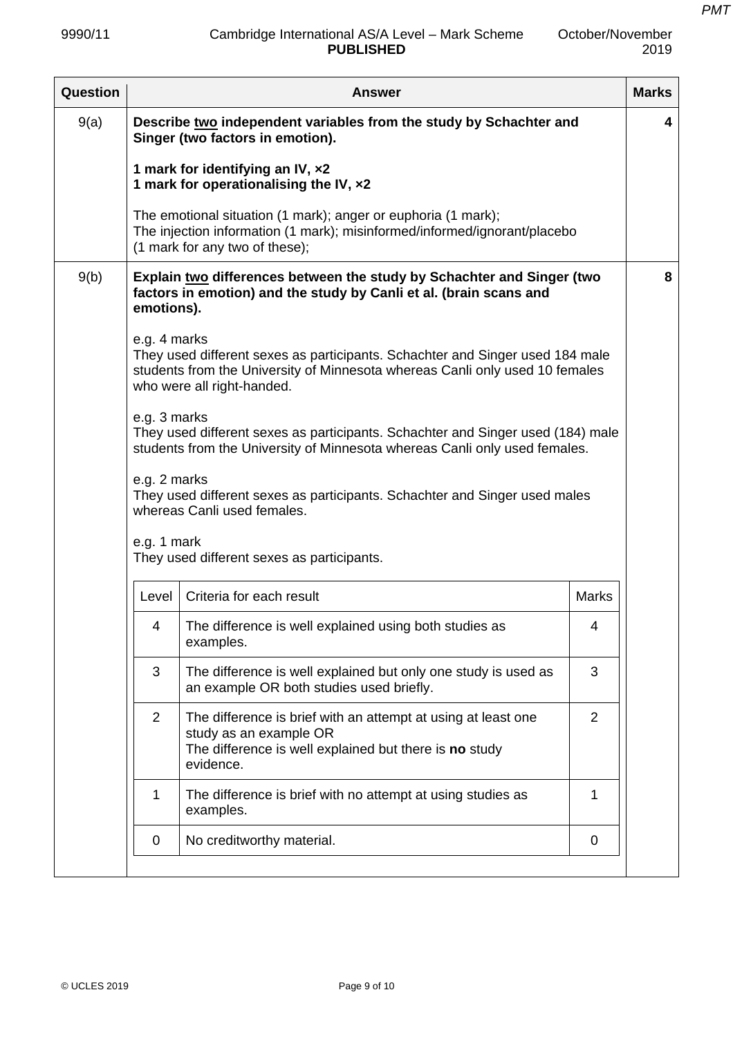| Question |                                                                                                                           | <b>Answer</b>                                                                                                                                                                               |                | <b>Marks</b> |  |
|----------|---------------------------------------------------------------------------------------------------------------------------|---------------------------------------------------------------------------------------------------------------------------------------------------------------------------------------------|----------------|--------------|--|
| 9(a)     | Describe two independent variables from the study by Schachter and<br>Singer (two factors in emotion).                    |                                                                                                                                                                                             |                |              |  |
|          |                                                                                                                           | 1 mark for identifying an IV, x2<br>1 mark for operationalising the IV, x2                                                                                                                  |                |              |  |
|          |                                                                                                                           | The emotional situation (1 mark); anger or euphoria (1 mark);<br>The injection information (1 mark); misinformed/informed/ignorant/placebo<br>(1 mark for any two of these);                |                |              |  |
| 9(b)     | emotions).                                                                                                                | Explain two differences between the study by Schachter and Singer (two<br>factors in emotion) and the study by Canli et al. (brain scans and                                                |                | 8            |  |
|          | e.g. 4 marks                                                                                                              | They used different sexes as participants. Schachter and Singer used 184 male<br>students from the University of Minnesota whereas Canli only used 10 females<br>who were all right-handed. |                |              |  |
|          | e.g. 3 marks                                                                                                              | They used different sexes as participants. Schachter and Singer used (184) male<br>students from the University of Minnesota whereas Canli only used females.                               |                |              |  |
|          | e.g. 2 marks<br>They used different sexes as participants. Schachter and Singer used males<br>whereas Canli used females. |                                                                                                                                                                                             |                |              |  |
|          | e.g. 1 mark                                                                                                               | They used different sexes as participants.                                                                                                                                                  |                |              |  |
|          | Level                                                                                                                     | Criteria for each result                                                                                                                                                                    | <b>Marks</b>   |              |  |
|          | 4                                                                                                                         | The difference is well explained using both studies as<br>examples.                                                                                                                         | 4              |              |  |
|          | 3                                                                                                                         | The difference is well explained but only one study is used as<br>an example OR both studies used briefly.                                                                                  | 3              |              |  |
|          | 2                                                                                                                         | The difference is brief with an attempt at using at least one<br>study as an example OR<br>The difference is well explained but there is no study<br>evidence.                              | $\overline{2}$ |              |  |
|          | 1                                                                                                                         | The difference is brief with no attempt at using studies as<br>examples.                                                                                                                    | 1              |              |  |
|          | 0                                                                                                                         | No creditworthy material.                                                                                                                                                                   | 0              |              |  |